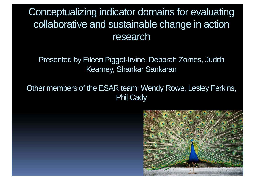Conceptualizing indicator domains for evaluating collaborative and sustainable change in action research

Presented by Eileen Piggot-Irvine, Deborah Zornes, Judith Kearney, Shankar Sankaran

Other members of the ESAR team: Wendy Rowe, Lesley Ferkins, Phil Cady

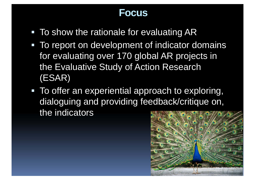## **Focus**

- To show the rationale for evaluating AR
- To report on development of indicator domains for evaluating over 170 global AR projects in the Evaluative Study of Action Research (ESAR)
- To offer an experiential approach to exploring, dialoguing and providing feedback/critique on, the indicators

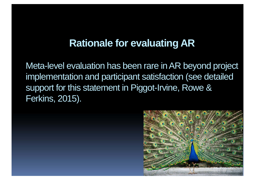## **Rationale for evaluating AR**

Meta-level evaluation has been rare in AR beyond project implementation and participant satisfaction (see detailed support for this statement in Piggot-Irvine, Rowe & Ferkins, 2015).

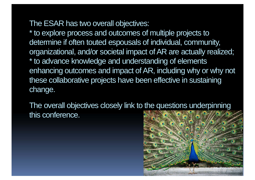The ESAR has two overall objectives:

\* to explore process and outcomes of multiple projects to determine if often touted espousals of individual, community, organizational, and/or societal impact of AR are actually realized; \* to advance knowledge and understanding of elements enhancing outcomes and impact of AR, including why or why not these collaborative projects have been effective in sustaining change.

The overall objectives closely link to the questions underpinning this conference.

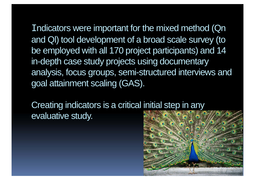Indicators were important for the mixed method (Qn and Ql) tool development of a broad scale survey (to be employed with all 170 project participants) and 14 in-depth case study projects using documentary analysis, focus groups, semi-structured interviews and goal attainment scaling (GAS).

Creating indicators is a critical initial step in any evaluative study.

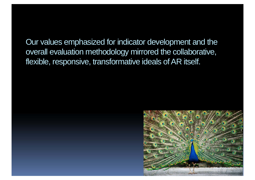Our values emphasized for indicator development and the overall evaluation methodology mirrored the collaborative, flexible, responsive, transformative ideals of AR itself.

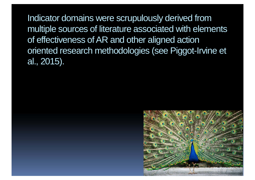Indicator domains were scrupulously derived from multiple sources of literature associated with elements of effectiveness of AR and other aligned action oriented research methodologies (see Piggot-Irvine et al., 2015).

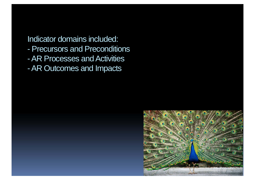Indicator domains included:

- Precursors and Preconditions
- AR Processes and Activities
- $\mathcal{L}_{\mathcal{A}}$ AR Outcomes and Impacts

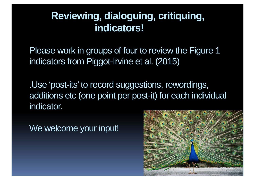## **Reviewing, dialoguing, critiquing, indicators!**

Please work in groups of four to review the Figure 1 indicators from Piggot-Irvine et al. (2015)

.Use 'post-its' to record suggestions, rewordings, additions etc (one point per post-it) for each individual indicator.

We welcome your input!